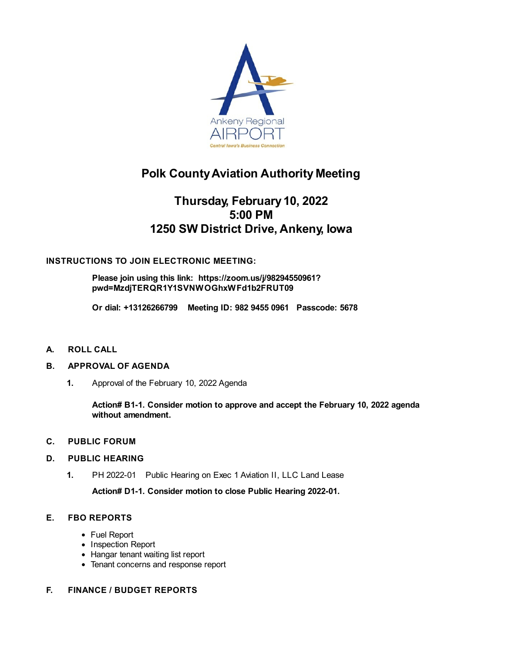

# **Polk CountyAviation Authority Meeting**

## **Thursday, February 10, 2022 5:00 PM 1250 SW District Drive, Ankeny, Iowa**

## **INSTRUCTIONS TO JOIN ELECTRONIC MEETING:**

**[Please](file:///C:/Windows/TEMP/CoverSheet.aspx?ItemID=26705&MeetingID=1000) join using this link: https://zoom.us/j/98294550961? [pwd=MzdjTERQR1Y1SVNWOGhxWFd1b2FRUT09](https://zoom.us/j/98294550961?pwd=MzdjTERQR1Y1SVNWOGhxWFd1b2FRUT09)**

**Or dial: +13126266799 Meeting ID: 982 9455 0961 Passcode: 5678**

**A. ROLL CALL**

#### **B. APPROVAL OF AGENDA**

**1.** Approval of the February 10, 2022 Agenda

**Action# B1-1. Consider motion to approve and accept the February 10, 2022 agenda without amendment.**

- **C. PUBLIC FORUM**
- **D. PUBLIC HEARING**
	- **1.** PH 2022-01 Public [Hearing](file:///C:/Windows/TEMP/CoverSheet.aspx?ItemID=26881&MeetingID=1000) on Exec 1 Aviation II, LLC Land Lease

**Action# D1-1. Consider motion to close Public Hearing 2022-01.**

## **E. FBO REPORTS**

- Fuel Report
- Inspection Report
- Hangar tenant waiting list report
- Tenant concerns and response report

#### **F. FINANCE / BUDGET REPORTS**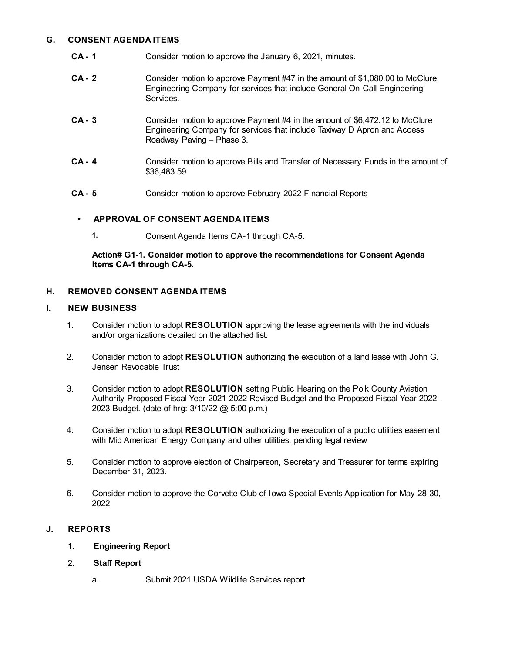#### **G. CONSENT AGENDA ITEMS**

- **CA - 1** [Consider](file:///C:/Windows/TEMP/CoverSheet.aspx?ItemID=26708&MeetingID=1000) motion to approve the January 6, 2021, minutes.
- **CA - 2** Consider motion to approve Payment #47 in the amount of \$1,080.00 to McClure [Engineering](file:///C:/Windows/TEMP/CoverSheet.aspx?ItemID=26810&MeetingID=1000) Company for services that include General On-Call Engineering **Services**
- **CA - 3** Consider motion to approve Payment #4 in the amount of \$6,472.12 to McClure Engineering Company for services that include Taxiway D Apron and Access Roadway Paving – Phase 3.
- **CA - 4** Consider motion to approve Bills and Transfer of Necessary Funds in the amount of [\\$36,483.59.](file:///C:/Windows/TEMP/CoverSheet.aspx?ItemID=26709&MeetingID=1000)
- **CA - 5** Consider motion to approve February 2022 [Financial](file:///C:/Windows/TEMP/CoverSheet.aspx?ItemID=26710&MeetingID=1000) Reports

#### **• APPROVAL OF CONSENT AGENDA ITEMS**

**1.** Consent Agenda Items CA-1 through CA-5.

**Action# G1-1. Consider motion to approve the recommendations for Consent Agenda Items CA-1 through CA-5.**

#### **H. REMOVED CONSENT AGENDA ITEMS**

#### **I. NEW BUSINESS**

- 1. Consider motion to adopt **RESOLUTION** approving the lease agreements with the individuals and/or organizations detailed on the attached list.
- 2. Consider motion to adopt **RESOLUTION** authorizing the execution of a land lease with John G. Jensen Revocable Trust
- 3. Consider motion to adopt **[RESOLUTION](file:///C:/Windows/TEMP/CoverSheet.aspx?ItemID=26814&MeetingID=1000)** setting Public Hearing on the Polk County Aviation Authority Proposed Fiscal Year 2021-2022 Revised Budget and the Proposed Fiscal Year 2022- 2023 Budget. (date of hrg: 3/10/22 @ 5:00 p.m.)
- 4. Consider motion to adopt **[RESOLUTION](file:///C:/Windows/TEMP/CoverSheet.aspx?ItemID=26883&MeetingID=1000)** authorizing the execution of a public utilities easement with Mid American Energy Company and other utilities, pending legal review
- 5. Consider motion to approve election of Chairperson, Secretary and Treasurer for terms expiring December 31, 2023.
- 6. Consider motion to approve the Corvette Club of Iowa Special Events [Application](file:///C:/Windows/TEMP/CoverSheet.aspx?ItemID=26904&MeetingID=1000) for May 28-30, 2022.

## **J. REPORTS**

- 1. **Engineering Report**
- 2. **Staff Report**
	- a. Submit 2021 USDA Wildlife [Services](file:///C:/Windows/TEMP/CoverSheet.aspx?ItemID=26813&MeetingID=1000) report